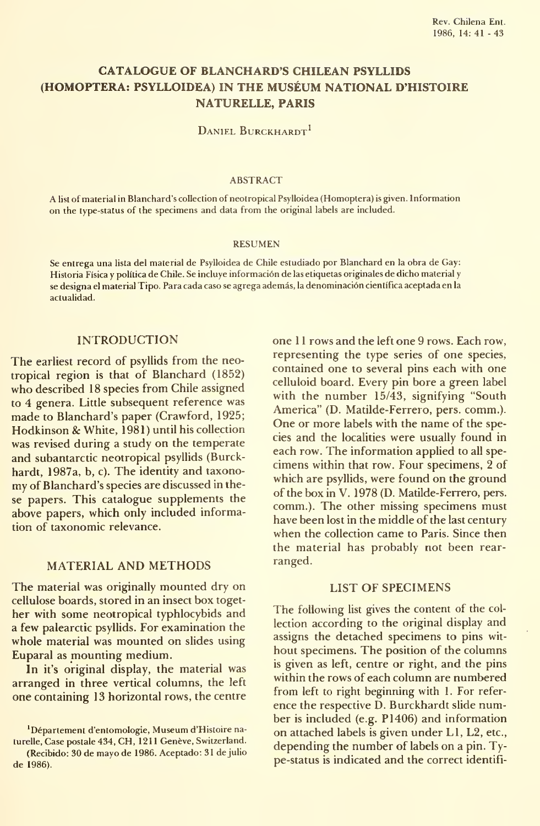# CATALOGUE OF BLANCHARD'S CHILEAN PSYLLIDS (HOMOPTERA: PSYLLOIDEA) IN THE MUSÉUM NATIONAL D'HISTOIRE NATURELLE, PARÍS

DANIEL BURCKHARDT<sup>1</sup>

#### ABSTRACT

A list of material in Blanchard's collection of neotropical Psylloidea (Homoptera) isgiven. Information on the type-status of the specimens and data from the original labels are included.

#### RESUMEN

Se entrega una lista del material de Psylloidea de Chile estudiado por Blanchard en la obra de Gay: Historia Física y política de Chile. Se incluye información de las etiquetas originales de dicho material <sup>y</sup> se designa el material Tipo. Para cada caso se agrega además, la denominación científica aceptada en la actualidad.

#### INTRODUCTION

The earliest record of psyllids from the neotropical región is that of Blanchard (1852) who described 18 species from Chile assigned to 4 genera. Little subsequent reference was made to Blanchard's paper (Crawford, 1925; Hodkinson & White, 1981) until his collection was revised during a study on the temperate and subantarctic neotropical psyllids (Burckhardt, 1987a, b, c). The identity and taxono my of Blanchard's species are discussed in these papers. This catalogue supplements the above papers, which only included information of taxonomic relevance.

## MATERIAL AND METHODS

The material was originally mounted dry on cellulose boards, stored in an insect box toget her with some neotropical typhlocybids and a few palearctic psyllids. For examination the whole material was mounted on slides using Euparal as mounting médium.

In it's original display, the material was arranged in three vertical columns, the left one containing 13 horizontal rows, the centre

'Département d'entomologie, Museum d'Histoire naturelle, Case póstale 434, CH, 1211 Genéve, Switzerland. (Recibido: 30 de mayo de 1986. Aceptado; 31 de julio de 1986).

one 11 rows and the left one 9 rows. Each row, representing the type series of one species, contained one to several pins each with one celluloid board. Every pin bore a green label with the number 15/43, signifying "South America" (D. Matilde-Ferrero, pers. comm.). One or more labels with the name of the species and the localities were usually found in each row. The information applied to all specimens within that row. Four specimens, 2 of which are psyllids, were found on the ground of the box in V. 1978 (D. Matilde-Ferrero, pers. comm.). The other missing specimens must have been lost in the middle of the last century when the collection came to Paris. Since then the material has probably not been rearranged.

# LIST OF SPECIMENS

The following list gives the content of the collection according to the original display and assigns the detached specimens to pins wit hout specimens. The position of the columns is given as left, centre or right, and the pins within the rows of each column are numbered from left to right beginning with 1. For refer ence the respective D. Burckhardt slide number is included (e.g. P1406) and information on attached labels is given under Ll, L2, etc., depending the number of labels on a pin. Type-status is indicated and the correct identifi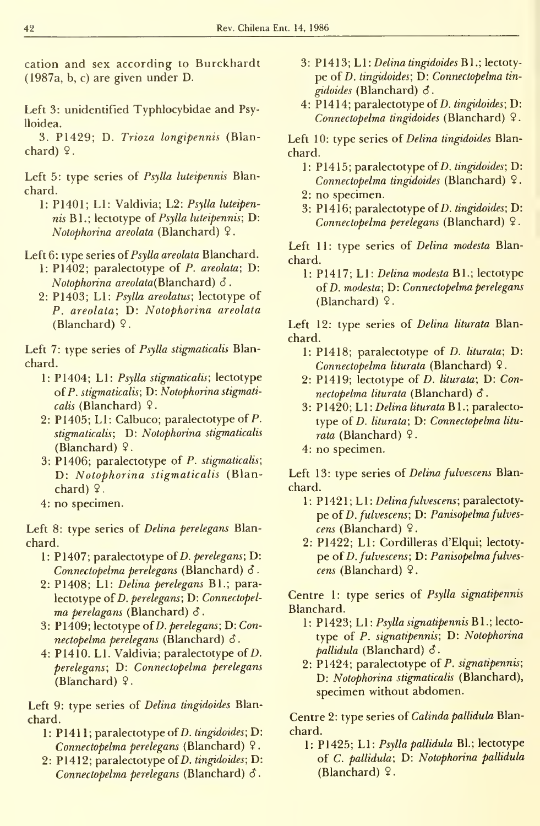catión and sex according to Burckhardt (1987a, b, c) are given under D.

- Left 3: unidentified Typhlocybidae and Psylloidea.
- 3. P1429; D. Trioza longipennis (Blanchard)  $9$ .

Left 5: type series of Psylla luteipennis Blan chard.

1: P1401; Ll: Valdivia; L2: Psylla luteipennis Bl.; lectotype oí Psylla luteipennis; D: Notophorina areolata (Blanchard)  $9$ .

Left 6: type series of Psylla areolata Blanchard.

- 1: P1402; paralectotype of P. areolata; D: Notophorina areolata(Blanchard)  $\delta$ .
- 2: P1403; L1: Psylla areolatus; lectotype of P. areolata; D: Notophorina areolata (Blanchard)  $\sqrt{2}$ .

Left 7: type series of Psylla stigmaticalis Blanchard.

- 1: P1404; Ll: Psylla stigmaticalis; lectotype of P. stigmaticalis; D: Notophorina stigmaticalis (Blanchard)  $9$ .
- 2: P1405; L1: Calbuco; paralectotype of P. stigmaticalis; D: Notophorina stigmaticalis (Blanchard)  $9$ .
- 3: P1406; paralectotype of P. stigmaticalis; D: Notophorina stigmaticalis (Blanchard)  $9$ .
- 4: no specimen.

Left 8: type series of Delina perelegans Blan chard.

- 1: P1407; paralectotype of D. perelegans; D: Connectopelma perelegans (Blanchard)  $\delta$ .
- 2: P1408; Ll: Delina perelegans Bl.; paralectotype of D. perelegans; D: Connectopelma perelagans (Blanchard)  $\delta$ .
- 3: P1409; lectotype of D. perelegans; D: Connectopelma perelegans (Blanchard)  $\delta$ .
- 4: P1410. Ll. Valdivia; paralectotype of D. perelegans; D: Connectopelma perelegans (Blanchard)  $9$ .

Left 9: type series of *Delina tingidoides* Blanchard.

- 1: P1411; paralectotype of *D. tingidoides*; D: Connectopelma perelegans (Blanchard) 9
- 2: P1412; paralectotype of D. tingidoides; D: Connectopelma perelegans (Blanchard) S
- 3: P1413; L1: Delina tingidoides B1.; lectotype of D. tingidoides; D: Connectopelma tingidoides (Blanchard) S.
- 4: P1414; paralectotype of  $D.$  tingidoides;  $D:$ Connectopelma tingidoides (Blanchard) 9

Left 10: type series of Delina tingidoides Blanchard.

- 1: P1415; paralectotype of *D. tingidoides*; D: Connectopelma tingidoides (Blanchard) 9.
- 2: no specimen.
- 3: P1416; paralectotype of  $D.$  tingidoides;  $D:$ Connectopelma perelegans (Blanchard) 9

Left 11: type series of Delina modesta Blanchard.

1: P1417; Ll: Delina modesta Bl.; lectotype of D. modesta; D: Connectopelma perelegans (Blanchard) 9.

Left 12: type series of Delina liturata Blanchard.

- 1: P1418; paralectotype of D. liturata; D: Connectopelma liturata (Blanchard) 9
- 2: P1419; lectotype oí D. liturata; D: Connectopelma liturata (Blanchard)  $\delta$ .
- 3: P1420; Ll: Delina liturata Rl.; paralecto type oí D. liturata; D: Connectopelma litu rata (Blanchard)  $9$ .
- 4: no specimen.

Left 13: type series of *Delina fulvescens* Blanchard.

- 1: P1421; L1: Delina fulvescens; paralectotype of D. fulvescens; D: Panisopelma fulves $cens$  (Blanchard)  $9$ .
- 2: P1422; Ll: Cordilleras d'Elqui; lectoty pe of D. fulvescens; D: Panisopelma fulvescens (Blanchard)  $9$ .

Centre 1: type series of Psylla signatipennis Blanchard.

- l : P1423; L1: *Psylla signatipennis* B1.; lectotype of P. signatipennis; D: Notophorina pallidula (Blanchard)  $\delta$ .
- 2: P1424; paralectotype of P. signatipennis; D: Notophorina stigmaticalis (Blanchard), specimen without abdomen.

Centre 2: type series oí Calinda pallidula Blanchard.

1: P1425; Ll: Psylla pallidula Bl.; lectotype of C. pallidula; D: Notophorina pallidula (Blanchard)  $9$ .